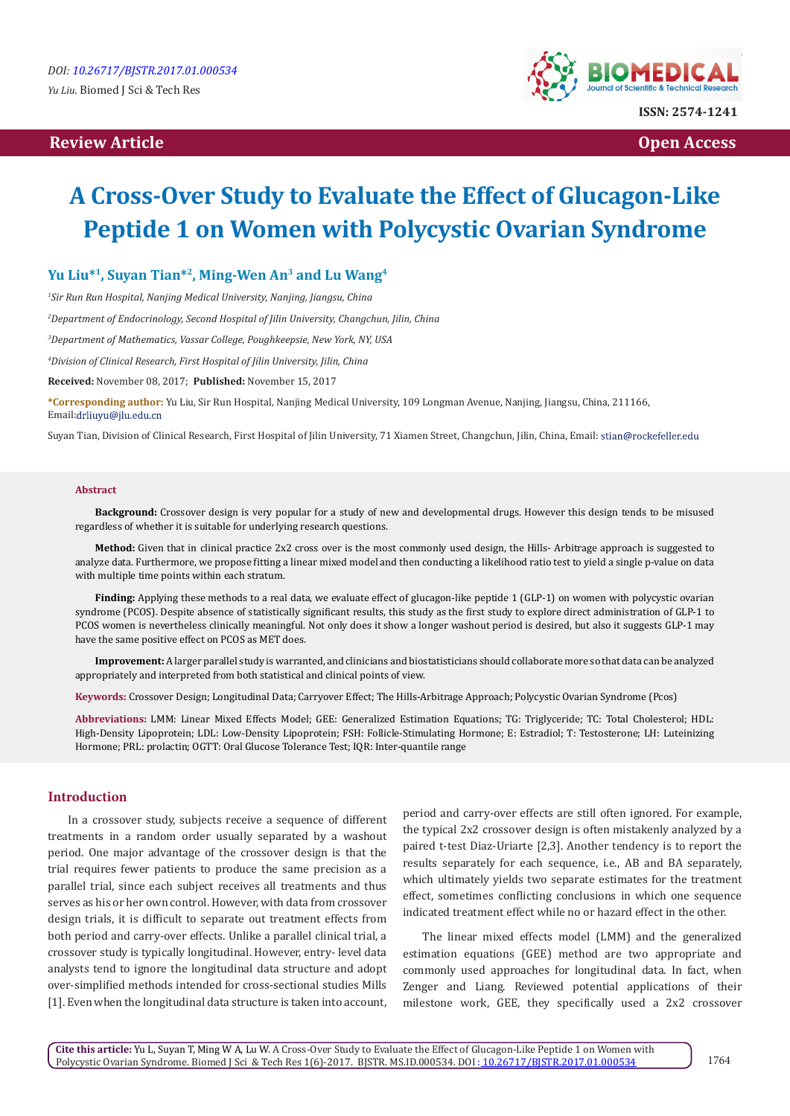# **Review Article Contract Contract Contract Contract Contract Contract Contract Contract Contract Contract Contract Contract Contract Contract Contract Contract Contract Contract Contract Contract Contract Contract Contract**



# **A Cross-Over Study to Evaluate the Effect of Glucagon-Like Peptide 1 on Women with Polycystic Ovarian Syndrome**

# **Yu Liu\*1, Suyan Tian\*2, Ming-Wen An3 and Lu Wang4**

*1 Sir Run Run Hospital, Nanjing Medical University, Nanjing, Jiangsu, China*

*2 Department of Endocrinology, Second Hospital of Jilin University, Changchun, Jilin, China*

*3 Department of Mathematics, Vassar College, Poughkeepsie, New York, NY, USA*

*4 Division of Clinical Research, First Hospital of Jilin University, Jilin, China*

**Received:** November 08, 2017; **Published:** November 15, 2017

**\*Corresponding author:** Yu Liu, Sir Run Hospital, Nanjing Medical University, 109 Longman Avenue, Nanjing, Jiangsu, China, 211166, Email:drliuyu@jlu.edu.cn

Suyan Tian, Division of Clinical Research, First Hospital of Jilin University, 71 Xiamen Street, Changchun, Jilin, China, Email: stian@rockefeller.edu

#### **Abstract**

**Background:** Crossover design is very popular for a study of new and developmental drugs. However this design tends to be misused regardless of whether it is suitable for underlying research questions.

**Method:** Given that in clinical practice 2x2 cross over is the most commonly used design, the Hills- Arbitrage approach is suggested to analyze data. Furthermore, we propose fitting a linear mixed model and then conducting a likelihood ratio test to yield a single p-value on data with multiple time points within each stratum.

**Finding:** Applying these methods to a real data, we evaluate effect of glucagon-like peptide 1 (GLP-1) on women with polycystic ovarian syndrome (PCOS). Despite absence of statistically significant results, this study as the first study to explore direct administration of GLP-1 to PCOS women is nevertheless clinically meaningful. Not only does it show a longer washout period is desired, but also it suggests GLP-1 may have the same positive effect on PCOS as MET does.

**Improvement:** A larger parallel study is warranted, and clinicians and biostatisticians should collaborate more so that data can be analyzed appropriately and interpreted from both statistical and clinical points of view.

**Keywords:** Crossover Design; Longitudinal Data; Carryover Effect; The Hills-Arbitrage Approach; Polycystic Ovarian Syndrome (Pcos)

**Abbreviations:** LMM: Linear Mixed Effects Model; GEE: Generalized Estimation Equations; TG: Triglyceride; TC: Total Cholesterol; HDL: High-Density Lipoprotein; LDL: Low-Density Lipoprotein; FSH: Follicle-Stimulating Hormone; E: Estradiol; T: Testosterone; LH: Luteinizing Hormone; PRL: prolactin; OGTT: Oral Glucose Tolerance Test; IQR: Inter-quantile range

# **Introduction**

In a crossover study, subjects receive a sequence of different treatments in a random order usually separated by a washout period. One major advantage of the crossover design is that the trial requires fewer patients to produce the same precision as a parallel trial, since each subject receives all treatments and thus serves as his or her own control. However, with data from crossover design trials, it is difficult to separate out treatment effects from both period and carry-over effects. Unlike a parallel clinical trial, a crossover study is typically longitudinal. However, entry- level data analysts tend to ignore the longitudinal data structure and adopt over-simplified methods intended for cross-sectional studies Mills [1]. Even when the longitudinal data structure is taken into account, period and carry-over effects are still often ignored. For example, the typical 2x2 crossover design is often mistakenly analyzed by a paired t-test Diaz-Uriarte [2,3]. Another tendency is to report the results separately for each sequence, i.e., AB and BA separately, which ultimately yields two separate estimates for the treatment effect, sometimes conflicting conclusions in which one sequence indicated treatment effect while no or hazard effect in the other.

The linear mixed effects model (LMM) and the generalized estimation equations (GEE) method are two appropriate and commonly used approaches for longitudinal data. In fact, when Zenger and Liang. Reviewed potential applications of their milestone work, GEE, they specifically used a 2x2 crossover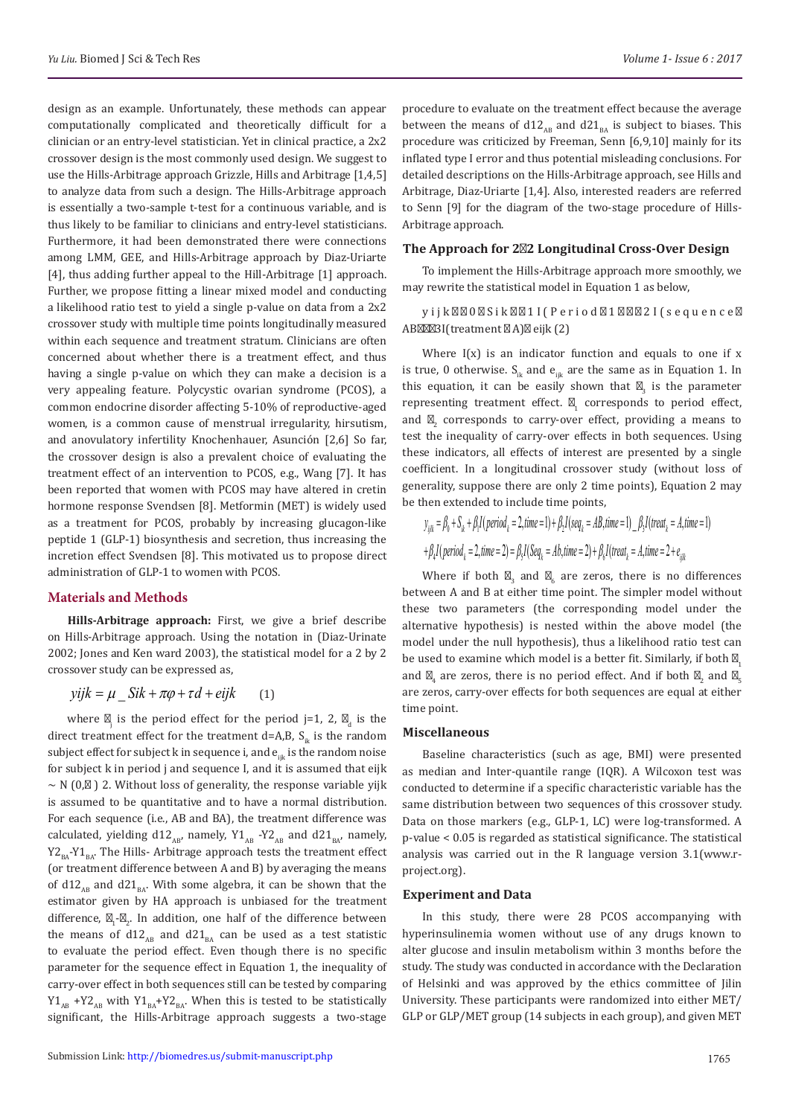design as an example. Unfortunately, these methods can appear computationally complicated and theoretically difficult for a clinician or an entry-level statistician. Yet in clinical practice, a 2x2 crossover design is the most commonly used design. We suggest to use the Hills-Arbitrage approach Grizzle, Hills and Arbitrage [1,4,5] to analyze data from such a design. The Hills-Arbitrage approach is essentially a two-sample t-test for a continuous variable, and is thus likely to be familiar to clinicians and entry-level statisticians. Furthermore, it had been demonstrated there were connections among LMM, GEE, and Hills-Arbitrage approach by Diaz-Uriarte [4], thus adding further appeal to the Hill-Arbitrage [1] approach. Further, we propose fitting a linear mixed model and conducting a likelihood ratio test to yield a single p-value on data from a 2x2 crossover study with multiple time points longitudinally measured within each sequence and treatment stratum. Clinicians are often concerned about whether there is a treatment effect, and thus having a single p-value on which they can make a decision is a very appealing feature. Polycystic ovarian syndrome (PCOS), a common endocrine disorder affecting 5-10% of reproductive-aged women, is a common cause of menstrual irregularity, hirsutism, and anovulatory infertility Knochenhauer, Asunción [2,6] So far, the crossover design is also a prevalent choice of evaluating the treatment effect of an intervention to PCOS, e.g., Wang [7]. It has been reported that women with PCOS may have altered in cretin hormone response Svendsen [8]. Metformin (MET) is widely used as a treatment for PCOS, probably by increasing glucagon-like peptide 1 (GLP-1) biosynthesis and secretion, thus increasing the incretion effect Svendsen [8]. This motivated us to propose direct administration of GLP-1 to women with PCOS.

#### **Materials and Methods**

**Hills-Arbitrage approach:** First, we give a brief describe on Hills-Arbitrage approach. Using the notation in (Diaz-Urinate 2002; Jones and Ken ward 2003), the statistical model for a 2 by 2 crossover study can be expressed as,

# $\gamma ijk = \mu \quad Sik + \pi\varphi + \tau d + \varepsilon ijk$  (1)

where  $\frac{1}{1}$  is the period effect for the period j=1, 2,  $\frac{1}{d}$  is the direct treatment effect for the treatment d=A,B,  $S_{ik}$  is the random subject effect for subject k in sequence i, and  $e_{ik}$  is the random noise for subject k in period j and sequence I, and it is assumed that eijk  $\sim$  N (0, ) 2. Without loss of generality, the response variable yijk is assumed to be quantitative and to have a normal distribution. For each sequence (i.e., AB and BA), the treatment difference was calculated, yielding d12<sub>AB</sub>, namely, Y1<sub>AB</sub> -Y2<sub>AB</sub> and d21<sub>BA</sub>, namely,  $Y2_{\text{pa}}-Y1_{\text{pa}}$ . The Hills- Arbitrage approach tests the treatment effect (or treatment difference between A and B) by averaging the means of d12<sub>AB</sub> and d21<sub>BA</sub>. With some algebra, it can be shown that the estimator given by HA approach is unbiased for the treatment difference,  $\frac{1}{1}$   $\frac{1}{2}$ . In addition, one half of the difference between the means of d12<sub>AB</sub> and d21<sub>BA</sub> can be used as a test statistic to evaluate the period effect. Even though there is no specific parameter for the sequence effect in Equation 1, the inequality of carry-over effect in both sequences still can be tested by comparing  $Y1_{AB}$  +Y2<sub>AB</sub> with  $Y1_{BA}$ +Y2<sub>BA</sub>. When this is tested to be statistically significant, the Hills-Arbitrage approach suggests a two-stage

procedure to evaluate on the treatment effect because the average between the means of d12<sub>AB</sub> and d21<sub>BA</sub> is subject to biases. This procedure was criticized by Freeman, Senn [6,9,10] mainly for its inflated type I error and thus potential misleading conclusions. For detailed descriptions on the Hills-Arbitrage approach, see Hills and Arbitrage, Diaz-Uriarte [1,4]. Also, interested readers are referred to Senn [9] for the diagram of the two-stage procedure of Hills-Arbitrage approach.

#### **The Approach for 2 2 Longitudinal Cross-Over Design**

To implement the Hills-Arbitrage approach more smoothly, we may rewrite the statistical model in Equation 1 as below,

yijk 0 Sik 1I(Period 1 2I(sequence AB 3I(treatment A) eijk (2)

Where  $I(x)$  is an indicator function and equals to one if x is true, 0 otherwise.  $S_{ik}$  and  $e_{ik}$  are the same as in Equation 1. In this equation, it can be easily shown that  $\frac{3}{3}$  is the parameter representing treatment effect.  $\frac{1}{1}$  corresponds to period effect, and  $\frac{1}{2}$  corresponds to carry-over effect, providing a means to test the inequality of carry-over effects in both sequences. Using these indicators, all effects of interest are presented by a single coefficient. In a longitudinal crossover study (without loss of generality, suppose there are only 2 time points), Equation 2 may be then extended to include time points,

$$
y_{ijk} = \beta_0 + S_{ik} + \beta_1 I(\text{period}_k = 2, \text{time} = 1) + \beta_2 I(\text{seq}_k = AB, \text{time} = 1) - \beta_3 I(\text{treat}_k = A, \text{time} = 1) + \beta_4 I(\text{period}_k = 2, \text{time} = 2) = \beta_3 I(\text{Seq}_k = Ab, \text{time} = 2) + \beta_6 I(\text{treat}_k = A, \text{time} = 2 + e_{ijlk}
$$

Where if both  $_3$  and  $_6$  are zeros, there is no differences between A and B at either time point. The simpler model without these two parameters (the corresponding model under the alternative hypothesis) is nested within the above model (the model under the null hypothesis), thus a likelihood ratio test can be used to examine which model is a better fit. Similarly, if both and  $_4$  are zeros, there is no period effect. And if both  $_2$  and  $_5$ are zeros, carry-over effects for both sequences are equal at either time point.

#### **Miscellaneous**

Baseline characteristics (such as age, BMI) were presented as median and Inter-quantile range (IQR). A Wilcoxon test was conducted to determine if a specific characteristic variable has the same distribution between two sequences of this crossover study. Data on those markers (e.g., GLP-1, LC) were log-transformed. A p-value < 0.05 is regarded as statistical significance. The statistical analysis was carried out in the R language version 3.1(www.rproject.org).

### **Experiment and Data**

In this study, there were 28 PCOS accompanying with hyperinsulinemia women without use of any drugs known to alter glucose and insulin metabolism within 3 months before the study. The study was conducted in accordance with the Declaration of Helsinki and was approved by the ethics committee of Jilin University. These participants were randomized into either MET/ GLP or GLP/MET group (14 subjects in each group), and given MET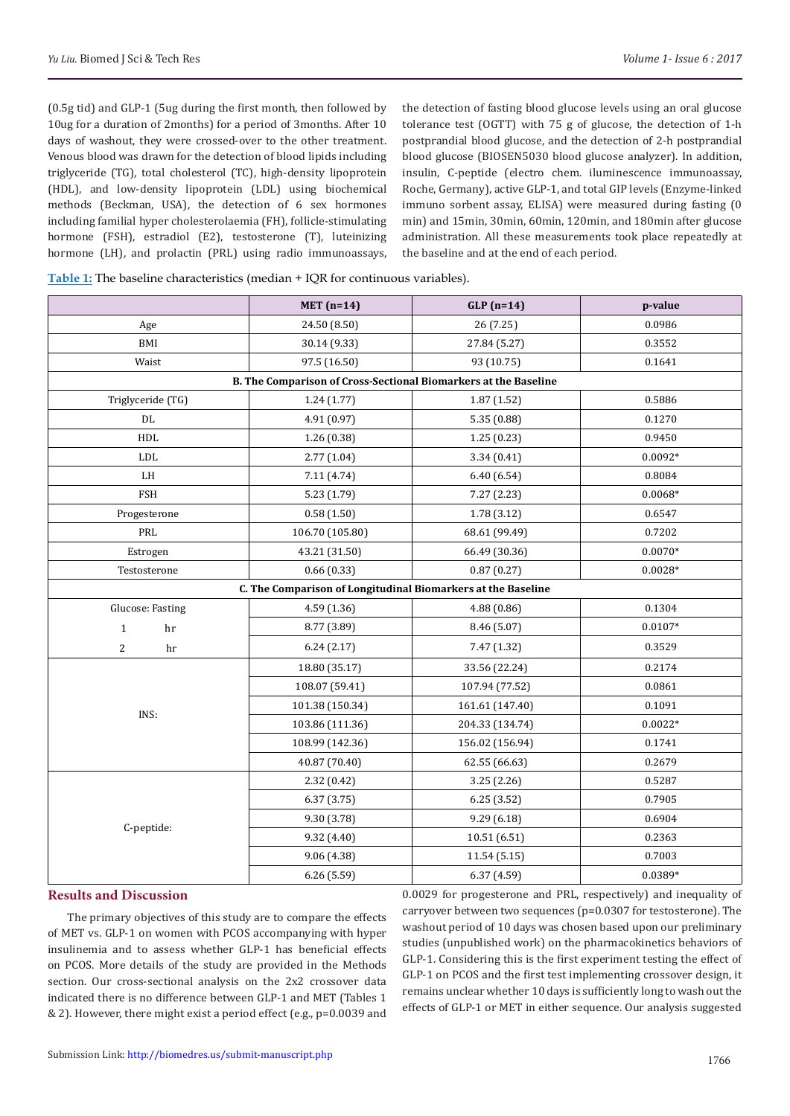(0.5g tid) and GLP-1 (5ug during the first month, then followed by 10ug for a duration of 2months) for a period of 3months. After 10 days of washout, they were crossed-over to the other treatment. Venous blood was drawn for the detection of blood lipids including triglyceride (TG), total cholesterol (TC), high-density lipoprotein (HDL), and low-density lipoprotein (LDL) using biochemical methods (Beckman, USA), the detection of 6 sex hormones including familial hyper cholesterolaemia (FH), follicle-stimulating hormone (FSH), estradiol (E2), testosterone (T), luteinizing hormone (LH), and prolactin (PRL) using radio immunoassays,

the detection of fasting blood glucose levels using an oral glucose tolerance test (OGTT) with 75 g of glucose, the detection of 1-h postprandial blood glucose, and the detection of 2-h postprandial blood glucose (BIOSEN5030 blood glucose analyzer). In addition, insulin, C-peptide (electro chem. iluminescence immunoassay, Roche, Germany), active GLP-1, and total GIP levels (Enzyme-linked immuno sorbent assay, ELISA) were measured during fasting (0 min) and 15min, 30min, 60min, 120min, and 180min after glucose administration. All these measurements took place repeatedly at the baseline and at the end of each period.

|  | Table 1: The baseline characteristics (median + IQR for continuous variables). |
|--|--------------------------------------------------------------------------------|
|--|--------------------------------------------------------------------------------|

|                                                                 | MET $(n=14)$                                                 | $GLP(n=14)$     | p-value   |  |  |  |  |
|-----------------------------------------------------------------|--------------------------------------------------------------|-----------------|-----------|--|--|--|--|
| Age                                                             | 24.50 (8.50)                                                 | 26(7.25)        | 0.0986    |  |  |  |  |
| BMI                                                             | 30.14 (9.33)                                                 | 27.84 (5.27)    | 0.3552    |  |  |  |  |
| Waist                                                           | 97.5 (16.50)                                                 | 93 (10.75)      | 0.1641    |  |  |  |  |
| B. The Comparison of Cross-Sectional Biomarkers at the Baseline |                                                              |                 |           |  |  |  |  |
| Triglyceride (TG)                                               | 1.24(1.77)                                                   | 1.87(1.52)      | 0.5886    |  |  |  |  |
| DL                                                              | 4.91 (0.97)                                                  | 5.35 (0.88)     | 0.1270    |  |  |  |  |
| HDL                                                             | 1.26(0.38)                                                   | 1.25(0.23)      | 0.9450    |  |  |  |  |
| <b>LDL</b>                                                      | 2.77(1.04)                                                   | 3.34(0.41)      | $0.0092*$ |  |  |  |  |
| LH                                                              | 7.11 (4.74)                                                  | 6.40(6.54)      | 0.8084    |  |  |  |  |
| <b>FSH</b>                                                      | 5.23 (1.79)                                                  | 7.27 (2.23)     | $0.0068*$ |  |  |  |  |
| Progesterone                                                    | 0.58(1.50)                                                   | 1.78(3.12)      | 0.6547    |  |  |  |  |
| PRL                                                             | 106.70 (105.80)                                              | 68.61 (99.49)   | 0.7202    |  |  |  |  |
| Estrogen                                                        | 43.21 (31.50)                                                | 66.49 (30.36)   | $0.0070*$ |  |  |  |  |
| Testosterone                                                    | 0.66(0.33)                                                   | 0.87(0.27)      | $0.0028*$ |  |  |  |  |
|                                                                 | C. The Comparison of Longitudinal Biomarkers at the Baseline |                 |           |  |  |  |  |
| Glucose: Fasting                                                | 4.59 (1.36)                                                  | 4.88(0.86)      | 0.1304    |  |  |  |  |
| $\mathbf{1}$<br>hr                                              | 8.77 (3.89)                                                  | 8.46 (5.07)     | $0.0107*$ |  |  |  |  |
| $\overline{2}$<br>hr                                            | 6.24(2.17)                                                   | 7.47 (1.32)     | 0.3529    |  |  |  |  |
|                                                                 | 18.80 (35.17)                                                | 33.56 (22.24)   | 0.2174    |  |  |  |  |
|                                                                 | 108.07 (59.41)                                               | 107.94 (77.52)  | 0.0861    |  |  |  |  |
| INS:                                                            | 101.38 (150.34)                                              | 161.61 (147.40) | 0.1091    |  |  |  |  |
|                                                                 | 103.86 (111.36)                                              | 204.33 (134.74) | $0.0022*$ |  |  |  |  |
|                                                                 | 108.99 (142.36)                                              | 156.02 (156.94) | 0.1741    |  |  |  |  |
|                                                                 | 40.87 (70.40)                                                | 62.55 (66.63)   | 0.2679    |  |  |  |  |
|                                                                 | 2.32 (0.42)                                                  | 3.25(2.26)      | 0.5287    |  |  |  |  |
|                                                                 | 6.37(3.75)                                                   | 6.25(3.52)      | 0.7905    |  |  |  |  |
|                                                                 | 9.30 (3.78)                                                  | 9.29 (6.18)     | 0.6904    |  |  |  |  |
| C-peptide:                                                      | 9.32 (4.40)                                                  | 10.51(6.51)     | 0.2363    |  |  |  |  |
|                                                                 | 9.06 (4.38)                                                  | 11.54 (5.15)    | 0.7003    |  |  |  |  |
|                                                                 | 6.26(5.59)                                                   | 6.37 (4.59)     | 0.0389*   |  |  |  |  |

## **Results and Discussion**

The primary objectives of this study are to compare the effects of MET vs. GLP-1 on women with PCOS accompanying with hyper insulinemia and to assess whether GLP-1 has beneficial effects on PCOS. More details of the study are provided in the Methods section. Our cross-sectional analysis on the 2x2 crossover data indicated there is no difference between GLP-1 and MET (Tables 1 & 2). However, there might exist a period effect (e.g., p=0.0039 and

0.0029 for progesterone and PRL, respectively) and inequality of carryover between two sequences (p=0.0307 for testosterone). The washout period of 10 days was chosen based upon our preliminary studies (unpublished work) on the pharmacokinetics behaviors of GLP-1. Considering this is the first experiment testing the effect of GLP-1 on PCOS and the first test implementing crossover design, it remains unclear whether 10 days is sufficiently long to wash out the effects of GLP-1 or MET in either sequence. Our analysis suggested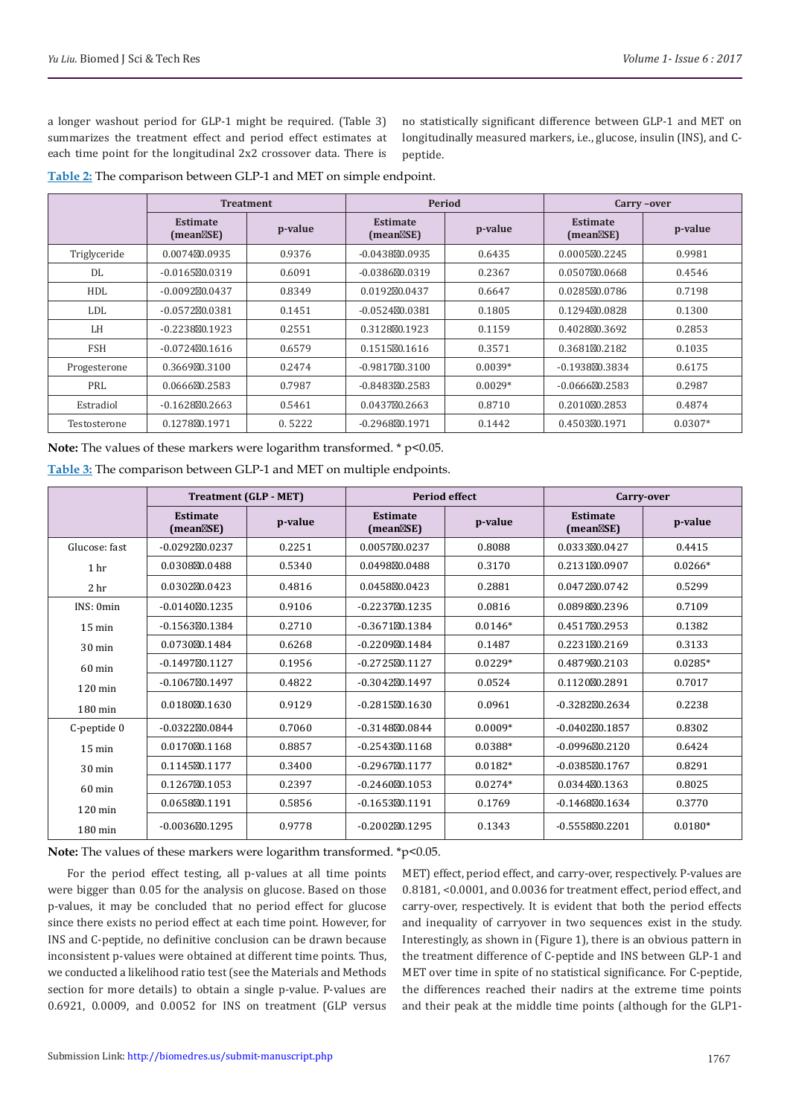a longer washout period for GLP-1 might be required. (Table 3) summarizes the treatment effect and period effect estimates at each time point for the longitudinal 2x2 crossover data. There is no statistically significant difference between GLP-1 and MET on longitudinally measured markers, i.e., glucose, insulin (INS), and Cpeptide.

**Table 2:** The comparison between GLP-1 and MET on simple endpoint.

|              | <b>Treatment</b>             |         | <b>Period</b>                |           | Carry-over                   |           |
|--------------|------------------------------|---------|------------------------------|-----------|------------------------------|-----------|
|              | <b>Estimate</b><br>(mean SE) | p-value | <b>Estimate</b><br>(mean SE) | p-value   | <b>Estimate</b><br>(mean SE) | p-value   |
| Triglyceride | 0.0074 0.0935                | 0.9376  | $-0.0438$ 0.0935             | 0.6435    | 0.0005 0.2245                | 0.9981    |
| DL           | $-0.0165$ $0.0319$           | 0.6091  | $-0.0386$ $0.0319$           | 0.2367    | 0.0507 0.0668                | 0.4546    |
| <b>HDL</b>   | $-0.0092$ $0.0437$           | 0.8349  | 0.0192 0.0437                | 0.6647    | 0.0285 0.0786                | 0.7198    |
| LDL          | $-0.0572$ $0.0381$           | 0.1451  | $-0.0524$ $0.0381$           | 0.1805    | 0.1294 0.0828                | 0.1300    |
| LH.          | $-0.2238$ $0.1923$           | 0.2551  | 0.3128 0.1923                | 0.1159    | 0.4028 0.3692                | 0.2853    |
| <b>FSH</b>   | $-0.0724$ $0.1616$           | 0.6579  | 0.1515 0.1616                | 0.3571    | 0.3681 0.2182                | 0.1035    |
| Progesterone | 0.3669 0.3100                | 0.2474  | $-0.9817$ $0.3100$           | $0.0039*$ | $-0.1938$ $0.3834$           | 0.6175    |
| PRI.         | 0.0666 0.2583                | 0.7987  | $-0.8483$ $0.2583$           | $0.0029*$ | $-0.0666$ $0.2583$           | 0.2987    |
| Estradiol    | $-0.1628$ 0.2663             | 0.5461  | 0.0437 0.2663                | 0.8710    | 0.2010 0.2853                | 0.4874    |
| Testosterone | 0.1278 0.1971                | 0.5222  | $-0.2968$ 0.1971             | 0.1442    | 0.4503 0.1971                | $0.0307*$ |

Note: The values of these markers were logarithm transformed. \* p<0.05.

**Table 3:** The comparison between GLP-1 and MET on multiple endpoints.

|                   | <b>Treatment (GLP - MET)</b> |         | <b>Period effect</b>         |           | Carry-over                   |           |
|-------------------|------------------------------|---------|------------------------------|-----------|------------------------------|-----------|
|                   | <b>Estimate</b><br>(mean SE) | p-value | <b>Estimate</b><br>(mean SE) | p-value   | <b>Estimate</b><br>(mean SE) | p-value   |
| Glucose: fast     | $-0.0292$ $0.0237$           | 0.2251  | 0.0057 0.0237                | 0.8088    | 0.0333 0.0427                | 0.4415    |
| 1 hr              | 0.0308 0.0488                | 0.5340  | 0.0498 0.0488                | 0.3170    | 0.2131 0.0907                | $0.0266*$ |
| 2 <sub>hr</sub>   | 0.0302 0.0423                | 0.4816  | 0.0458 0.0423                | 0.2881    | 0.0472 0.0742                | 0.5299    |
| INS: 0min         | $-0.0140$ $0.1235$           | 0.9106  | $-0.2237$ $0.1235$           | 0.0816    | 0.0898 0.2396                | 0.7109    |
| $15 \text{ min}$  | $-0.1563$ $0.1384$           | 0.2710  | $-0.3671$ $0.1384$           | $0.0146*$ | 0.4517 0.2953                | 0.1382    |
| 30 min            | 0.0730 0.1484                | 0.6268  | $-0.2209$ $0.1484$           | 0.1487    | 0.2231 0.2169                | 0.3133    |
| 60 min            | $-0.1497$ $0.1127$           | 0.1956  | $-0.2725$ $0.1127$           | $0.0229*$ | 0.4879 0.2103                | $0.0285*$ |
| $120 \text{ min}$ | $-0.1067$ 0.1497             | 0.4822  | $-0.3042$ 0.1497             | 0.0524    | 0.1120 0.2891                | 0.7017    |
| 180 min           | 0.0180 0.1630                | 0.9129  | $-0.2815$ $0.1630$           | 0.0961    | $-0.3282$ $0.2634$           | 0.2238    |
| C-peptide 0       | $-0.0322$ $0.0844$           | 0.7060  | $-0.3148$ $0.0844$           | $0.0009*$ | $-0.0402$ $0.1857$           | 0.8302    |
| $15 \text{ min}$  | 0.0170 0.1168                | 0.8857  | $-0.2543$ $0.1168$           | 0.0388*   | $-0.0996$ $0.2120$           | 0.6424    |
| $30 \text{ min}$  | 0.1145 0.1177                | 0.3400  | $-0.2967$ 0.1177             | $0.0182*$ | $-0.0385$ $0.1767$           | 0.8291    |
| $60$ min          | 0.1267 0.1053                | 0.2397  | $-0.2460$ $0.1053$           | $0.0274*$ | 0.0344 0.1363                | 0.8025    |
| $120 \text{ min}$ | 0.0658 0.1191                | 0.5856  | $-0.1653$ $0.1191$           | 0.1769    | $-0.1468$ $0.1634$           | 0.3770    |
| 180 min           | $-0.0036$ 0.1295             | 0.9778  | $-0.2002$ $0.1295$           | 0.1343    | $-0.5558$ $0.2201$           | $0.0180*$ |

Note: The values of these markers were logarithm transformed. \*p<0.05.

For the period effect testing, all p-values at all time points were bigger than 0.05 for the analysis on glucose. Based on those p-values, it may be concluded that no period effect for glucose since there exists no period effect at each time point. However, for INS and C-peptide, no definitive conclusion can be drawn because inconsistent p-values were obtained at different time points. Thus, we conducted a likelihood ratio test (see the Materials and Methods section for more details) to obtain a single p-value. P-values are 0.6921, 0.0009, and 0.0052 for INS on treatment (GLP versus

MET) effect, period effect, and carry-over, respectively. P-values are 0.8181, <0.0001, and 0.0036 for treatment effect, period effect, and carry-over, respectively. It is evident that both the period effects and inequality of carryover in two sequences exist in the study. Interestingly, as shown in (Figure 1), there is an obvious pattern in the treatment difference of C-peptide and INS between GLP-1 and MET over time in spite of no statistical significance. For C-peptide, the differences reached their nadirs at the extreme time points and their peak at the middle time points (although for the GLP1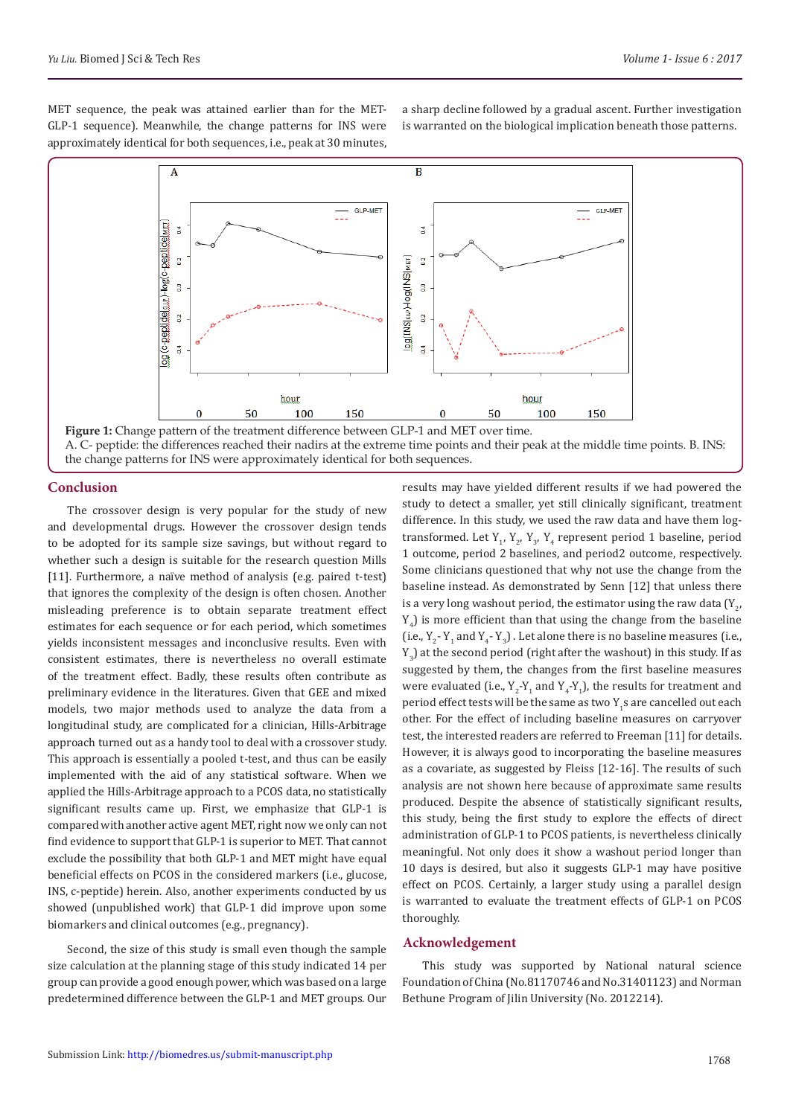MET sequence, the peak was attained earlier than for the MET-GLP-1 sequence). Meanwhile, the change patterns for INS were approximately identical for both sequences, i.e., peak at 30 minutes, a sharp decline followed by a gradual ascent. Further investigation is warranted on the biological implication beneath those patterns.



Figure 1: Change pattern of the treatment difference between GLP-1 and MET over time. A. C- peptide: the differences reached their nadirs at the extreme time points and their peak at the middle time points. B. INS: the change patterns for INS were approximately identical for both sequences.

# **Conclusion**

The crossover design is very popular for the study of new and developmental drugs. However the crossover design tends to be adopted for its sample size savings, but without regard to whether such a design is suitable for the research question Mills [11]. Furthermore, a naïve method of analysis (e.g. paired t-test) that ignores the complexity of the design is often chosen. Another misleading preference is to obtain separate treatment effect estimates for each sequence or for each period, which sometimes yields inconsistent messages and inconclusive results. Even with consistent estimates, there is nevertheless no overall estimate of the treatment effect. Badly, these results often contribute as preliminary evidence in the literatures. Given that GEE and mixed models, two major methods used to analyze the data from a longitudinal study, are complicated for a clinician, Hills-Arbitrage approach turned out as a handy tool to deal with a crossover study. This approach is essentially a pooled t-test, and thus can be easily implemented with the aid of any statistical software. When we applied the Hills-Arbitrage approach to a PCOS data, no statistically significant results came up. First, we emphasize that GLP-1 is compared with another active agent MET, right now we only can not find evidence to support that GLP-1 is superior to MET. That cannot exclude the possibility that both GLP-1 and MET might have equal beneficial effects on PCOS in the considered markers (i.e., glucose, INS, c-peptide) herein. Also, another experiments conducted by us showed (unpublished work) that GLP-1 did improve upon some biomarkers and clinical outcomes (e.g., pregnancy).

Second, the size of this study is small even though the sample size calculation at the planning stage of this study indicated 14 per group can provide a good enough power, which was based on a large predetermined difference between the GLP-1 and MET groups. Our results may have yielded different results if we had powered the study to detect a smaller, yet still clinically significant, treatment difference. In this study, we used the raw data and have them logtransformed. Let  $Y_1, Y_2, Y_3, Y_4$  represent period 1 baseline, period 1 outcome, period 2 baselines, and period2 outcome, respectively. Some clinicians questioned that why not use the change from the baseline instead. As demonstrated by Senn [12] that unless there is a very long washout period, the estimator using the raw data (Y<sub>2</sub>,  $Y_4$ ) is more efficient than that using the change from the baseline (i.e.,  $Y_2$ -  $Y_1$  and  $Y_4$ -  $Y_3$ ). Let alone there is no baseline measures (i.e.,  $Y_{3}$ ) at the second period (right after the washout) in this study. If as suggested by them, the changes from the first baseline measures were evaluated (i.e.,  $Y_2-Y_1$  and  $Y_4-Y_1$ ), the results for treatment and period effect tests will be the same as two Y<sub>1</sub>s are cancelled out each other. For the effect of including baseline measures on carryover test, the interested readers are referred to Freeman [11] for details. However, it is always good to incorporating the baseline measures as a covariate, as suggested by Fleiss [12-16]. The results of such analysis are not shown here because of approximate same results produced. Despite the absence of statistically significant results, this study, being the first study to explore the effects of direct administration of GLP-1 to PCOS patients, is nevertheless clinically meaningful. Not only does it show a washout period longer than 10 days is desired, but also it suggests GLP-1 may have positive effect on PCOS. Certainly, a larger study using a parallel design is warranted to evaluate the treatment effects of GLP-1 on PCOS thoroughly.

## **Acknowledgement**

This study was supported by National natural science Foundation of China (No.81170746 and No.31401123) and Norman Bethune Program of Jilin University (No. 2012214).